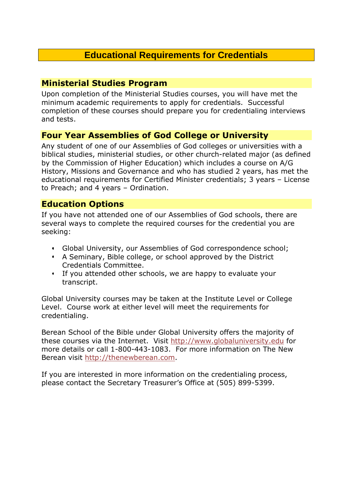# **Educational Requirements for Credentials**

## **Ministerial Studies Program**

Upon completion of the Ministerial Studies courses, you will have met the minimum academic requirements to apply for credentials. Successful completion of these courses should prepare you for credentialing interviews and tests.

# **Four Year Assemblies of God College or University**

Any student of one of our Assemblies of God colleges or universities with a biblical studies, ministerial studies, or other church-related major (as defined by the Commission of Higher Education) which includes a course on A/G History, Missions and Governance and who has studied 2 years, has met the educational requirements for Certified Minister credentials; 3 years – License to Preach; and 4 years – Ordination.

## **Education Options**

If you have not attended one of our Assemblies of God schools, there are several ways to complete the required courses for the credential you are seeking:

- Global University, our Assemblies of God correspondence school;
- A Seminary, Bible college, or school approved by the District Credentials Committee.
- If you attended other schools, we are happy to evaluate your transcript.

Global University courses may be taken at the Institute Level or College Level. Course work at either level will meet the requirements for credentialing.

Berean School of the Bible under Global University offers the majority of these courses via the Internet. Visit http://www.globaluniversity.edu for more details or call 1-800-443-1083. For more information on The New Berean visit http://thenewberean.com.

If you are interested in more information on the credentialing process, please contact the Secretary Treasurer's Office at (505) 899-5399.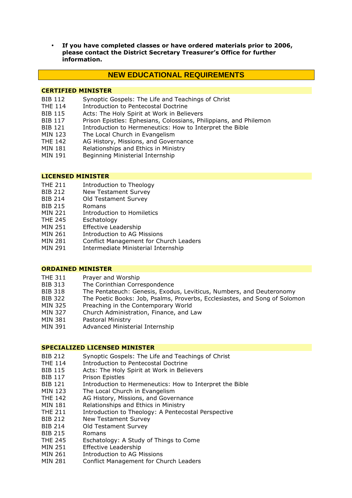**If you have completed classes or have ordered materials prior to 2006, please contact the District Secretary Treasurer's Office for further information.** 

## **NEW EDUCATIONAL REQUIREMENTS**

## **CERTIFIED MINISTER**

- BIB 112 Synoptic Gospels: The Life and Teachings of Christ
- THE 114 Introduction to Pentecostal Doctrine
- BIB 115 Acts: The Holy Spirit at Work in Believers<br>BIB 117 Prison Foistles: Ephesians. Colossians. Ph
- Prison Epistles: Ephesians, Colossians, Philippians, and Philemon
- BIB 121 Introduction to Hermeneutics: How to Interpret the Bible
- MIN 123 The Local Church in Evangelism
- THE 142 AG History, Missions, and Governance
- MIN 181 Relationships and Ethics in Ministry
- MIN 191 Beginning Ministerial Internship

## **LICENSED MINISTER**

- THE 211 Introduction to Theology
- BIB 212 New Testament Survey
- BIB 214 Old Testament Survey
- BIB 215 Romans
- MIN 221 Introduction to Homiletics
- THE 245 Eschatology
- MIN 251 Effective Leadership
- MIN 261 Introduction to AG Missions
- MIN 281 Conflict Management for Church Leaders
- MIN 291 Intermediate Ministerial Internship

## **ORDAINED MINISTER**

- 
- THE 311 Prayer and Worship<br>BIB 313 The Corinthian Corre The Corinthian Correspondence
- BIB 318 The Pentateuch: Genesis, Exodus, Leviticus, Numbers, and Deuteronomy
- BIB 322 The Poetic Books: Job, Psalms, Proverbs, Ecclesiastes, and Song of Solomon
- MIN 325 Preaching in the Contemporary World
- MIN 327 Church Administration, Finance, and Law
- MIN 381 Pastoral Ministry
- MIN 391 Advanced Ministerial Internship

### **SPECIALIZED LICENSED MINISTER**

- BIB 212 Synoptic Gospels: The Life and Teachings of Christ
- THE 114 Introduction to Pentecostal Doctrine
- BIB 115 Acts: The Holy Spirit at Work in Believers
- BIB 117 Prison Epistles
- BIB 121 Introduction to Hermeneutics: How to Interpret the Bible
- MIN 123 The Local Church in Evangelism
- THE 142 AG History, Missions, and Governance
- MIN 181 Relationships and Ethics in Ministry
- THE 211 Introduction to Theology: A Pentecostal Perspective
- BIB 212 New Testament Survey
- BIB 214 Old Testament Survey
- BIB 215 Romans
- THE 245 Eschatology: A Study of Things to Come
- MIN 251 Effective Leadership
- MIN 261 Introduction to AG Missions
- MIN 281 Conflict Management for Church Leaders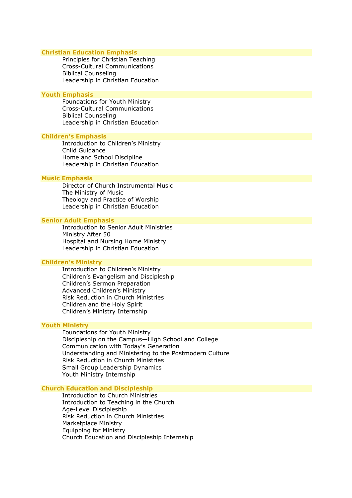#### **Christian Education Emphasis**

Principles for Christian Teaching Cross-Cultural Communications Biblical Counseling Leadership in Christian Education

#### **Youth Emphasis**

Foundations for Youth Ministry Cross-Cultural Communications Biblical Counseling Leadership in Christian Education

#### **Children's Emphasis**

Introduction to Children's Ministry Child Guidance Home and School Discipline Leadership in Christian Education

## **Music Emphasis**

Director of Church Instrumental Music The Ministry of Music Theology and Practice of Worship Leadership in Christian Education

#### **Senior Adult Emphasis**

Introduction to Senior Adult Ministries Ministry After 50 Hospital and Nursing Home Ministry Leadership in Christian Education

## **Children's Ministry**

Introduction to Children's Ministry Children's Evangelism and Discipleship Children's Sermon Preparation Advanced Children's Ministry Risk Reduction in Church Ministries Children and the Holy Spirit Children's Ministry Internship

#### **Youth Ministry**

Foundations for Youth Ministry Discipleship on the Campus—High School and College Communication with Today's Generation Understanding and Ministering to the Postmodern Culture Risk Reduction in Church Ministries Small Group Leadership Dynamics Youth Ministry Internship

**Church Education and Discipleship** 

Introduction to Church Ministries Introduction to Teaching in the Church Age-Level Discipleship Risk Reduction in Church Ministries Marketplace Ministry Equipping for Ministry Church Education and Discipleship Internship